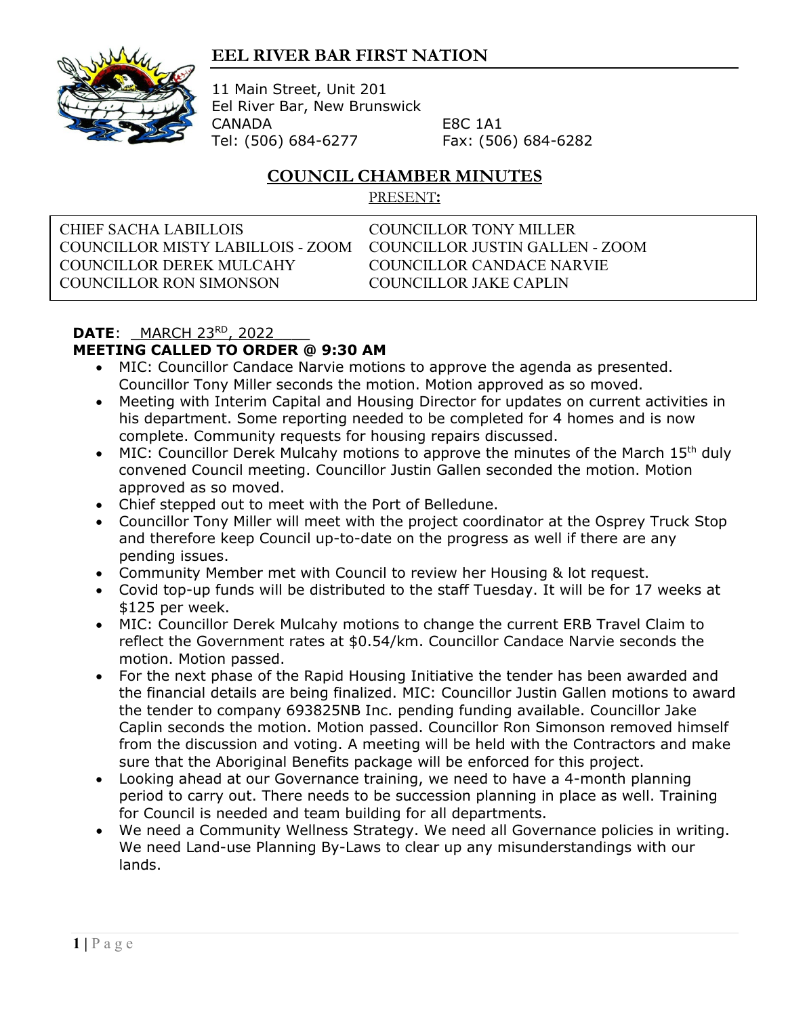## **EEL RIVER BAR FIRST NATION**



11 Main Street, Unit 201 Eel River Bar, New Brunswick CANADA E8C 1A1 Tel: (506) 684-6277 Fax: (506) 684-6282

## **COUNCIL CHAMBER MINUTES**

PRESENT**:**

CHIEF SACHA LABILLOIS COUNCILLOR TONY MILLER COUNCILLOR MISTY LABILLOIS - ZOOM COUNCILLOR JUSTIN GALLEN - ZOOM COUNCILLOR DEREK MULCAHY COUNCILLOR CANDACE NARVIE COUNCILLOR RON SIMONSON COUNCILLOR JAKE CAPLIN

## **DATE:** MARCH 23<sup>RD</sup>, 2022 **MEETING CALLED TO ORDER @ 9:30 AM**

- MIC: Councillor Candace Narvie motions to approve the agenda as presented. Councillor Tony Miller seconds the motion. Motion approved as so moved.
- Meeting with Interim Capital and Housing Director for updates on current activities in his department. Some reporting needed to be completed for 4 homes and is now complete. Community requests for housing repairs discussed.
- MIC: Councillor Derek Mulcahy motions to approve the minutes of the March 15<sup>th</sup> duly convened Council meeting. Councillor Justin Gallen seconded the motion. Motion approved as so moved.
- Chief stepped out to meet with the Port of Belledune.
- Councillor Tony Miller will meet with the project coordinator at the Osprey Truck Stop and therefore keep Council up-to-date on the progress as well if there are any pending issues.
- Community Member met with Council to review her Housing & lot request.
- Covid top-up funds will be distributed to the staff Tuesday. It will be for 17 weeks at \$125 per week.
- MIC: Councillor Derek Mulcahy motions to change the current ERB Travel Claim to reflect the Government rates at \$0.54/km. Councillor Candace Narvie seconds the motion. Motion passed.
- For the next phase of the Rapid Housing Initiative the tender has been awarded and the financial details are being finalized. MIC: Councillor Justin Gallen motions to award the tender to company 693825NB Inc. pending funding available. Councillor Jake Caplin seconds the motion. Motion passed. Councillor Ron Simonson removed himself from the discussion and voting. A meeting will be held with the Contractors and make sure that the Aboriginal Benefits package will be enforced for this project.
- Looking ahead at our Governance training, we need to have a 4-month planning period to carry out. There needs to be succession planning in place as well. Training for Council is needed and team building for all departments.
- We need a Community Wellness Strategy. We need all Governance policies in writing. We need Land-use Planning By-Laws to clear up any misunderstandings with our lands.